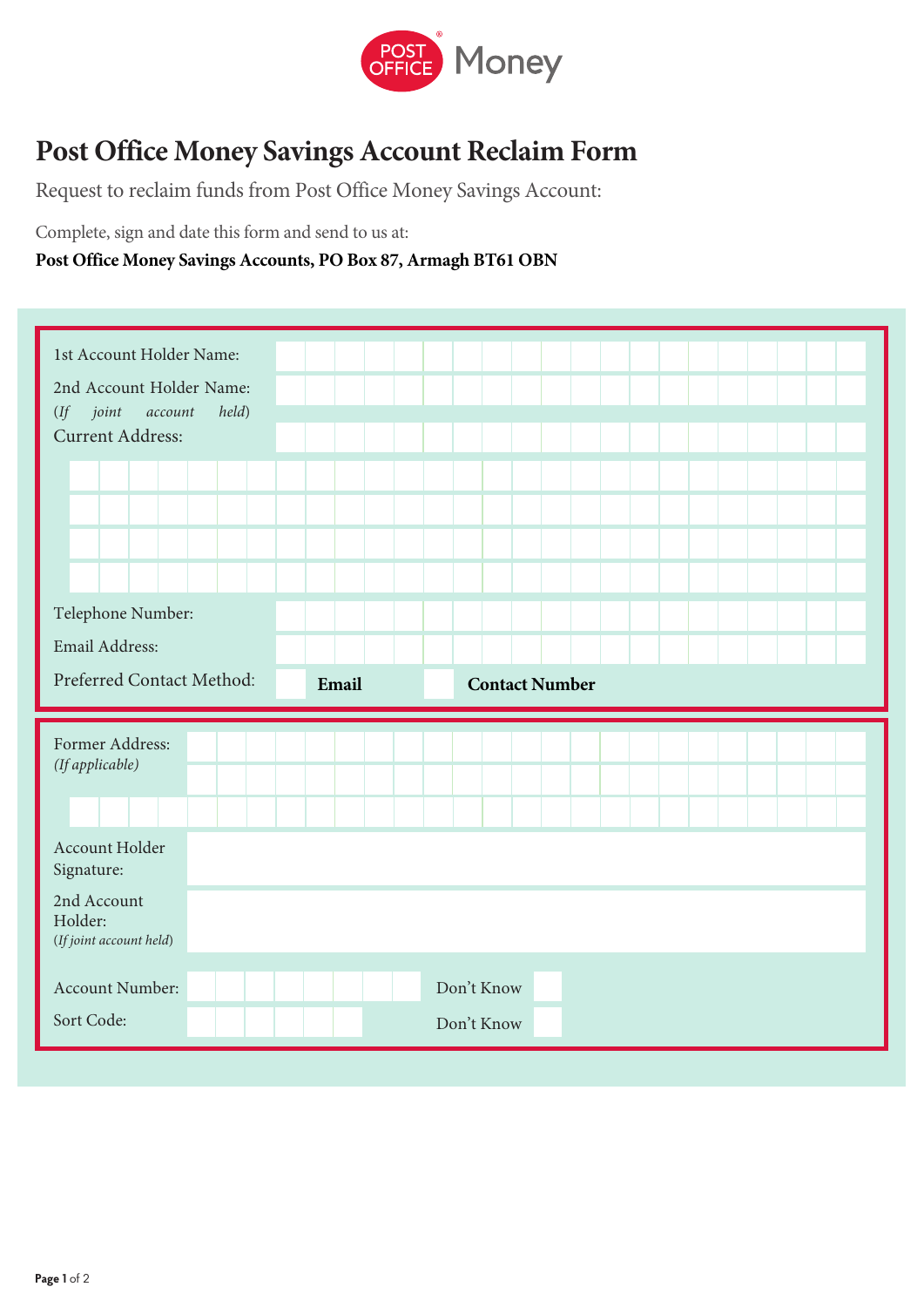

## **Post Office Money Savings Account Reclaim Form**

Request to reclaim funds from Post Office Money Savings Account:

Complete, sign and date this form and send to us at:

## **Post Office Money Savings Accounts, PO Box 87, Armagh BT61 OBN**

| 1st Account Holder Name:<br>2nd Account Holder Name:<br>$(If \quad joint$<br>account<br><b>Current Address:</b> | held) |       |                       |  |  |  |  |
|-----------------------------------------------------------------------------------------------------------------|-------|-------|-----------------------|--|--|--|--|
|                                                                                                                 |       |       |                       |  |  |  |  |
| Telephone Number:<br>Email Address:<br>Preferred Contact Method:                                                |       | Email | <b>Contact Number</b> |  |  |  |  |
|                                                                                                                 |       |       |                       |  |  |  |  |
| Former Address:<br>(If applicable)                                                                              |       |       |                       |  |  |  |  |
| Account Holder<br>Signature:                                                                                    |       |       |                       |  |  |  |  |
| 2nd Account<br>Holder:<br>(If joint account held)                                                               |       |       |                       |  |  |  |  |